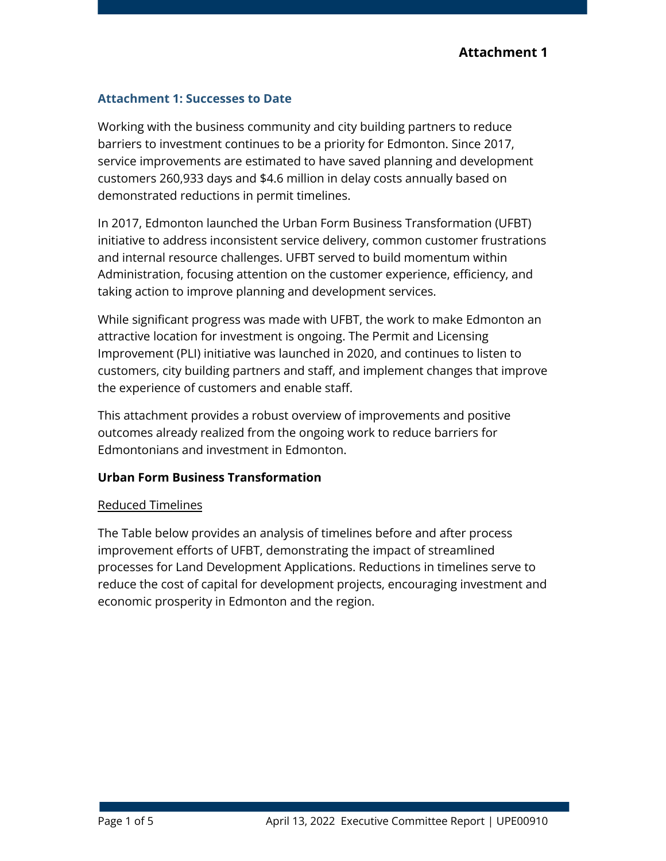# **Attachment 1: Successes to Date**

Working with the business community and city building partners to reduce barriers to investment continues to be a priority for Edmonton. Since 2017, service improvements are estimated to have saved planning and development customers 260,933 days and \$4.6 million in delay costs annually based on demonstrated reductions in permit timelines.

In 2017, Edmonton launched the Urban Form Business Transformation (UFBT) initiative to address inconsistent service delivery, common customer frustrations and internal resource challenges. UFBT served to build momentum within Administration, focusing attention on the customer experience, efficiency, and taking action to improve planning and development services.

While significant progress was made with UFBT, the work to make Edmonton an attractive location for investment is ongoing. The Permit and Licensing Improvement (PLI) initiative was launched in 2020, and continues to listen to customers, city building partners and staff, and implement changes that improve the experience of customers and enable staff.

This attachment provides a robust overview of improvements and positive outcomes already realized from the ongoing work to reduce barriers for Edmontonians and investment in Edmonton.

# **Urban Form Business Transformation**

# Reduced Timelines

The Table below provides an analysis of timelines before and after process improvement efforts of UFBT, demonstrating the impact of streamlined processes for Land Development Applications. Reductions in timelines serve to reduce the cost of capital for development projects, encouraging investment and economic prosperity in Edmonton and the region.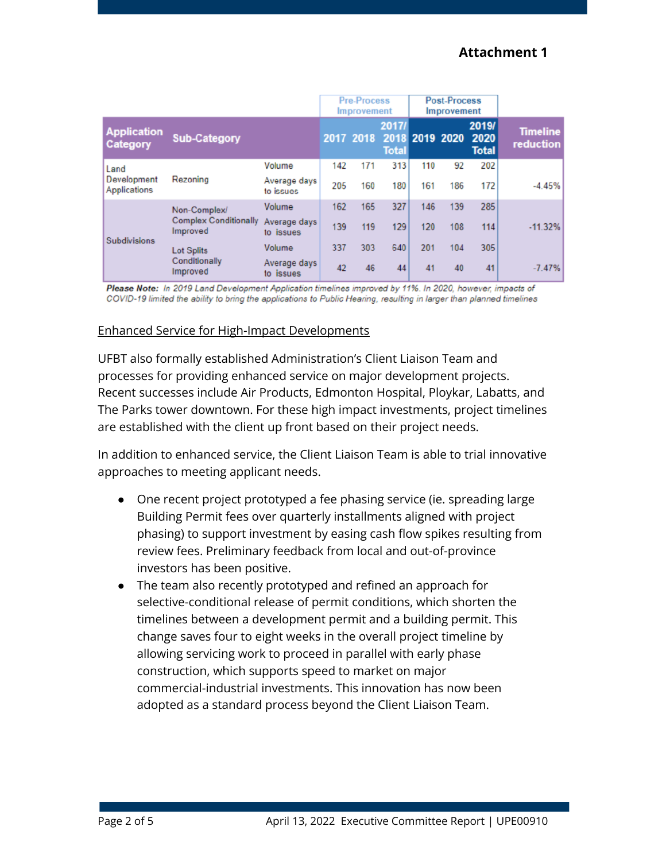|                                            |                                                          |                           | <b>Pre-Process</b><br><b>Improvement</b> |           |                                         | <b>Post-Process</b><br><b>Improvement</b> |     |                               |                              |
|--------------------------------------------|----------------------------------------------------------|---------------------------|------------------------------------------|-----------|-----------------------------------------|-------------------------------------------|-----|-------------------------------|------------------------------|
| <b>Application</b><br>Category             | <b>Sub-Category</b>                                      |                           |                                          | 2017 2018 | 2017/<br>2018 2019 2020<br><b>Total</b> |                                           |     | 2019/<br>2020<br><b>Total</b> | <b>Timeline</b><br>reduction |
| Land<br>Development<br><b>Applications</b> | Rezoning                                                 | Volume                    | 142                                      | 171       | 313                                     | 110                                       | 92  | 202                           |                              |
|                                            |                                                          | Average days<br>to issues | 205                                      | 160       | 180                                     | 161                                       | 186 | 172                           | $-4.45%$                     |
| <b>Subdivisions</b>                        | Non-Complex/<br><b>Complex Conditionally</b><br>Improved | Volume                    | 162                                      | 165       | 327                                     | 146                                       | 139 | 285                           |                              |
|                                            |                                                          | Average days<br>to issues | 139                                      | 119       | 129                                     | 120                                       | 108 | 114                           | $-11.32%$                    |
|                                            | <b>Lot Splits</b><br>Conditionally<br>Improved           | Volume                    | 337                                      | 303       | 640                                     | 201                                       | 104 | 305                           |                              |
|                                            |                                                          | Average days<br>to issues | 42                                       | 46        | 44                                      | 41                                        | 40  | 41                            | $-7.47%$                     |

Please Note: In 2019 Land Development Application timelines improved by 11%. In 2020, however, impacts of COVID-19 limited the ability to bring the applications to Public Hearing, resulting in larger than planned timelines

## Enhanced Service for High-Impact Developments

UFBT also formally established Administration's Client Liaison Team and processes for providing enhanced service on major development projects. Recent successes include Air Products, Edmonton Hospital, Ploykar, Labatts, and The Parks tower downtown. For these high impact investments, project timelines are established with the client up front based on their project needs.

In addition to enhanced service, the Client Liaison Team is able to trial innovative approaches to meeting applicant needs.

- One recent project prototyped a fee phasing service (ie. spreading large Building Permit fees over quarterly installments aligned with project phasing) to support investment by easing cash flow spikes resulting from review fees. Preliminary feedback from local and out-of-province investors has been positive.
- The team also recently prototyped and refined an approach for selective-conditional release of permit conditions, which shorten the timelines between a development permit and a building permit. This change saves four to eight weeks in the overall project timeline by allowing servicing work to proceed in parallel with early phase construction, which supports speed to market on major commercial-industrial investments. This innovation has now been adopted as a standard process beyond the Client Liaison Team.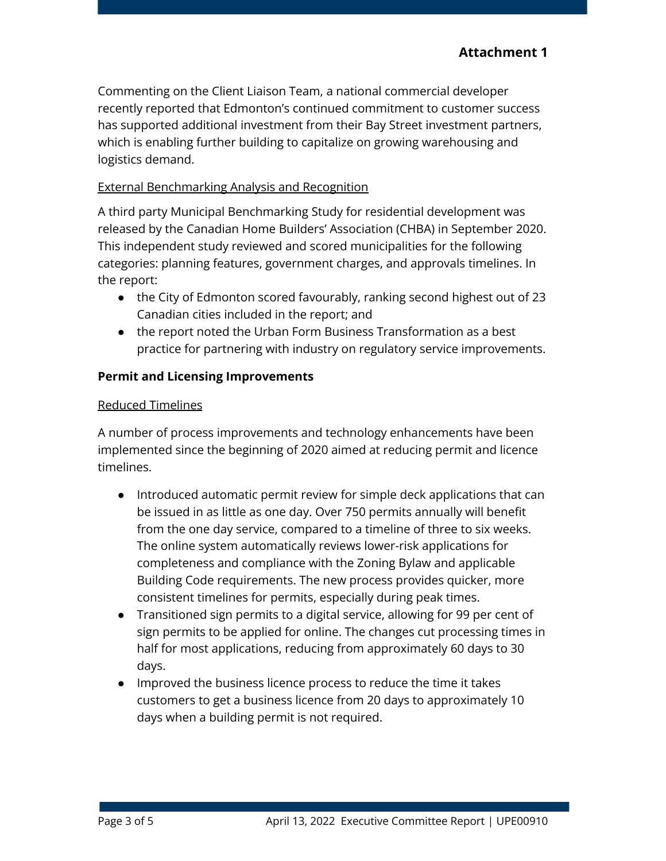Commenting on the Client Liaison Team, a national commercial developer recently reported that Edmonton's continued commitment to customer success has supported additional investment from their Bay Street investment partners, which is enabling further building to capitalize on growing warehousing and logistics demand.

## External Benchmarking Analysis and Recognition

A third party Municipal Benchmarking Study for residential development was released by the Canadian Home Builders' Association (CHBA) in September 2020. This independent study reviewed and scored municipalities for the following categories: planning features, government charges, and approvals timelines. In the report:

- the City of Edmonton scored favourably, ranking second highest out of 23 Canadian cities included in the report; and
- the report noted the Urban Form Business Transformation as a best practice for partnering with industry on regulatory service improvements.

## **Permit and Licensing Improvements**

### Reduced Timelines

A number of process improvements and technology enhancements have been implemented since the beginning of 2020 aimed at reducing permit and licence timelines.

- Introduced automatic permit review for simple deck applications that can be issued in as little as one day. Over 750 permits annually will benefit from the one day service, compared to a timeline of three to six weeks. The online system automatically reviews lower-risk applications for completeness and compliance with the Zoning Bylaw and applicable Building Code requirements. The new process provides quicker, more consistent timelines for permits, especially during peak times.
- Transitioned sign permits to a digital service, allowing for 99 per cent of sign permits to be applied for online. The changes cut processing times in half for most applications, reducing from approximately 60 days to 30 days.
- Improved the business licence process to reduce the time it takes customers to get a business licence from 20 days to approximately 10 days when a building permit is not required.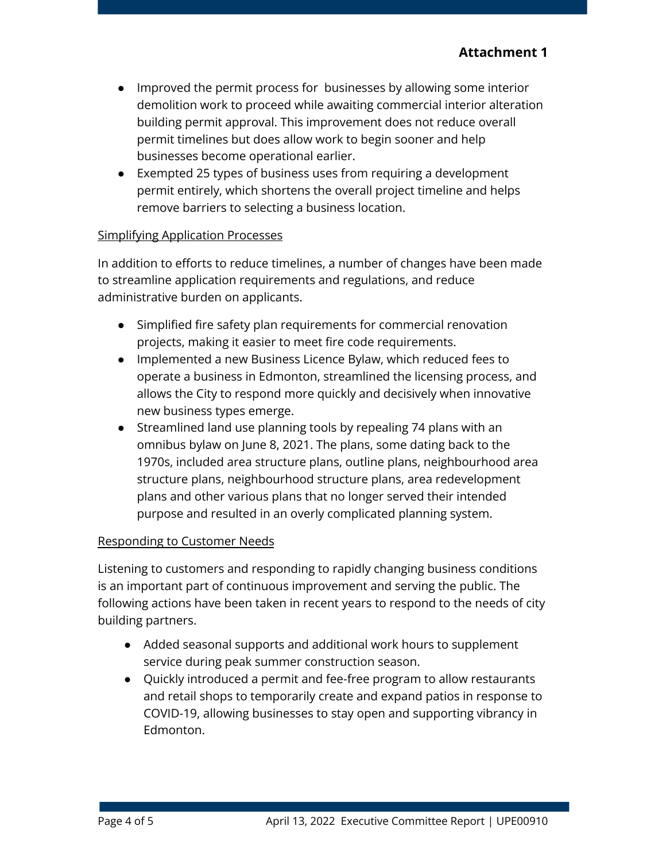- Improved the permit process for businesses by allowing some interior demolition work to proceed while awaiting commercial interior alteration building permit approval. This improvement does not reduce overall permit timelines but does allow work to begin sooner and help businesses become operational earlier.
- Exempted 25 types of business uses from requiring a development permit entirely, which shortens the overall project timeline and helps remove barriers to selecting a business location.

### Simplifying Application Processes

In addition to efforts to reduce timelines, a number of changes have been made to streamline application requirements and regulations, and reduce administrative burden on applicants.

- Simplified fire safety plan requirements for commercial renovation projects, making it easier to meet fire code requirements.
- Implemented a new Business Licence Bylaw, which reduced fees to operate a business in Edmonton, streamlined the licensing process, and allows the City to respond more quickly and decisively when innovative new business types emerge.
- Streamlined land use planning tools by repealing 74 plans with an omnibus bylaw on June 8, 2021. The plans, some dating back to the 1970s, included area structure plans, outline plans, neighbourhood area structure plans, neighbourhood structure plans, area redevelopment plans and other various plans that no longer served their intended purpose and resulted in an overly complicated planning system.

### Responding to Customer Needs

Listening to customers and responding to rapidly changing business conditions is an important part of continuous improvement and serving the public. The following actions have been taken in recent years to respond to the needs of city building partners.

- Added seasonal supports and additional work hours to supplement service during peak summer construction season.
- Quickly introduced a permit and fee-free program to allow restaurants and retail shops to temporarily create and expand patios in response to COVID-19, allowing businesses to stay open and supporting vibrancy in Edmonton.